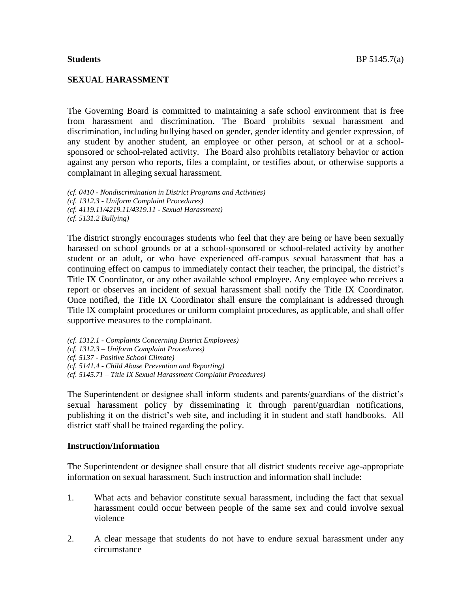### **SEXUAL HARASSMENT**

The Governing Board is committed to maintaining a safe school environment that is free from harassment and discrimination. The Board prohibits sexual harassment and discrimination, including bullying based on gender, gender identity and gender expression, of any student by another student, an employee or other person, at school or at a schoolsponsored or school-related activity. The Board also prohibits retaliatory behavior or action against any person who reports, files a complaint, or testifies about, or otherwise supports a complainant in alleging sexual harassment.

*(cf. 0410 - Nondiscrimination in District Programs and Activities) (cf. 1312.3 - Uniform Complaint Procedures) (cf. 4119.11/4219.11/4319.11 - Sexual Harassment) (cf. 5131.2 Bullying)*

The district strongly encourages students who feel that they are being or have been sexually harassed on school grounds or at a school-sponsored or school-related activity by another student or an adult, or who have experienced off-campus sexual harassment that has a continuing effect on campus to immediately contact their teacher, the principal, the district's Title IX Coordinator, or any other available school employee. Any employee who receives a report or observes an incident of sexual harassment shall notify the Title IX Coordinator. Once notified, the Title IX Coordinator shall ensure the complainant is addressed through Title IX complaint procedures or uniform complaint procedures, as applicable, and shall offer supportive measures to the complainant.

*(cf. 1312.1 - Complaints Concerning District Employees) (cf. 1312.3 – Uniform Complaint Procedures) (cf. 5137 - Positive School Climate) (cf. 5141.4 - Child Abuse Prevention and Reporting)*

*(cf. 5145.71 – Title IX Sexual Harassment Complaint Procedures)*

The Superintendent or designee shall inform students and parents/guardians of the district's sexual harassment policy by disseminating it through parent/guardian notifications, publishing it on the district's web site, and including it in student and staff handbooks. All district staff shall be trained regarding the policy.

#### **Instruction/Information**

The Superintendent or designee shall ensure that all district students receive age-appropriate information on sexual harassment. Such instruction and information shall include:

- 1. What acts and behavior constitute sexual harassment, including the fact that sexual harassment could occur between people of the same sex and could involve sexual violence
- 2. A clear message that students do not have to endure sexual harassment under any circumstance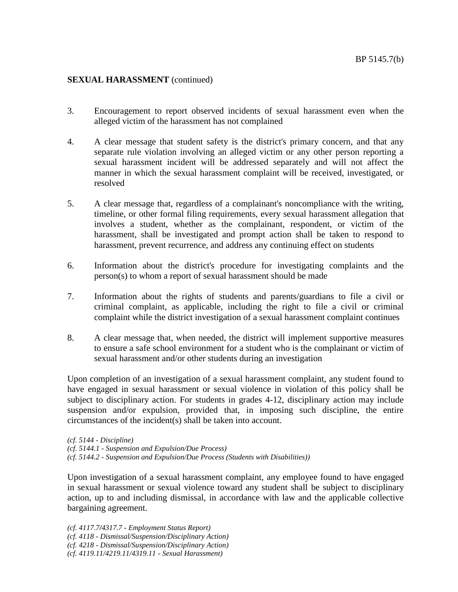- 3. Encouragement to report observed incidents of sexual harassment even when the alleged victim of the harassment has not complained
- 4. A clear message that student safety is the district's primary concern, and that any separate rule violation involving an alleged victim or any other person reporting a sexual harassment incident will be addressed separately and will not affect the manner in which the sexual harassment complaint will be received, investigated, or resolved
- 5. A clear message that, regardless of a complainant's noncompliance with the writing, timeline, or other formal filing requirements, every sexual harassment allegation that involves a student, whether as the complainant, respondent, or victim of the harassment, shall be investigated and prompt action shall be taken to respond to harassment, prevent recurrence, and address any continuing effect on students
- 6. Information about the district's procedure for investigating complaints and the person(s) to whom a report of sexual harassment should be made
- 7. Information about the rights of students and parents/guardians to file a civil or criminal complaint, as applicable, including the right to file a civil or criminal complaint while the district investigation of a sexual harassment complaint continues
- 8. A clear message that, when needed, the district will implement supportive measures to ensure a safe school environment for a student who is the complainant or victim of sexual harassment and/or other students during an investigation

Upon completion of an investigation of a sexual harassment complaint, any student found to have engaged in sexual harassment or sexual violence in violation of this policy shall be subject to disciplinary action. For students in grades 4-12, disciplinary action may include suspension and/or expulsion, provided that, in imposing such discipline, the entire circumstances of the incident(s) shall be taken into account.

*(cf. 5144 - Discipline) (cf. 5144.1 - Suspension and Expulsion/Due Process) (cf. 5144.2 - Suspension and Expulsion/Due Process (Students with Disabilities))*

Upon investigation of a sexual harassment complaint, any employee found to have engaged in sexual harassment or sexual violence toward any student shall be subject to disciplinary action, up to and including dismissal, in accordance with law and the applicable collective bargaining agreement.

*(cf. 4117.7/4317.7 - Employment Status Report) (cf. 4118 - Dismissal/Suspension/Disciplinary Action) (cf. 4218 - Dismissal/Suspension/Disciplinary Action) (cf. 4119.11/4219.11/4319.11 - Sexual Harassment)*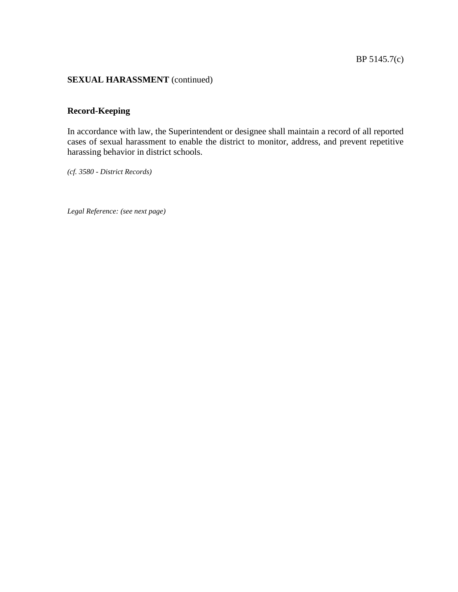# **Record-Keeping**

In accordance with law, the Superintendent or designee shall maintain a record of all reported cases of sexual harassment to enable the district to monitor, address, and prevent repetitive harassing behavior in district schools.

*(cf. 3580 - District Records)*

*Legal Reference: (see next page)*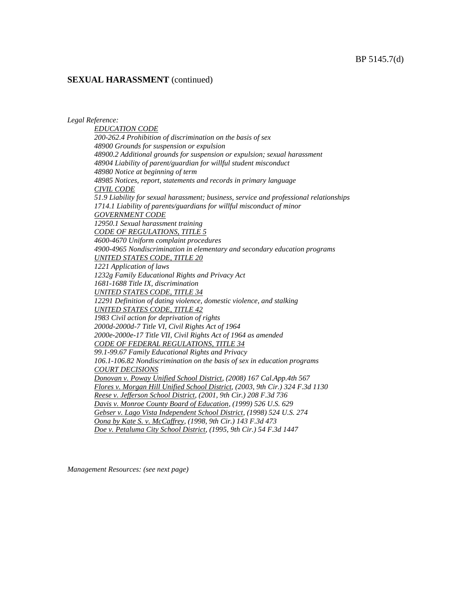*Legal Reference:* 

*EDUCATION CODE 200-262.4 Prohibition of discrimination on the basis of sex 48900 Grounds for suspension or expulsion 48900.2 Additional grounds for suspension or expulsion; sexual harassment 48904 Liability of parent/guardian for willful student misconduct 48980 Notice at beginning of term 48985 Notices, report, statements and records in primary language CIVIL CODE 51.9 Liability for sexual harassment; business, service and professional relationships 1714.1 Liability of parents/guardians for willful misconduct of minor GOVERNMENT CODE 12950.1 Sexual harassment training CODE OF REGULATIONS, TITLE 5 4600-4670 Uniform complaint procedures 4900-4965 Nondiscrimination in elementary and secondary education programs UNITED STATES CODE, TITLE 20 1221 Application of laws 1232g Family Educational Rights and Privacy Act 1681-1688 Title IX, discrimination UNITED STATES CODE, TITLE 34 12291 Definition of dating violence, domestic violence, and stalking UNITED STATES CODE, TITLE 42 1983 Civil action for deprivation of rights 2000d-2000d-7 Title VI, Civil Rights Act of 1964 2000e-2000e-17 Title VII, Civil Rights Act of 1964 as amended CODE OF FEDERAL REGULATIONS, TITLE 34 99.1-99.67 Family Educational Rights and Privacy 106.1-106.82 Nondiscrimination on the basis of sex in education programs COURT DECISIONS Donovan v. Poway Unified School District, (2008) 167 Cal.App.4th 567 Flores v. Morgan Hill Unified School District, (2003, 9th Cir.) 324 F.3d 1130 Reese v. Jefferson School District, (2001, 9th Cir.) 208 F.3d 736 Davis v. Monroe County Board of Education, (1999) 526 U.S. 629 Gebser v. Lago Vista Independent School District, (1998) 524 U.S. 274 Oona by Kate S. v. McCaffrey, (1998, 9th Cir.) 143 F.3d 473 Doe v. Petaluma City School District, (1995, 9th Cir.) 54 F.3d 1447*

*Management Resources: (see next page)*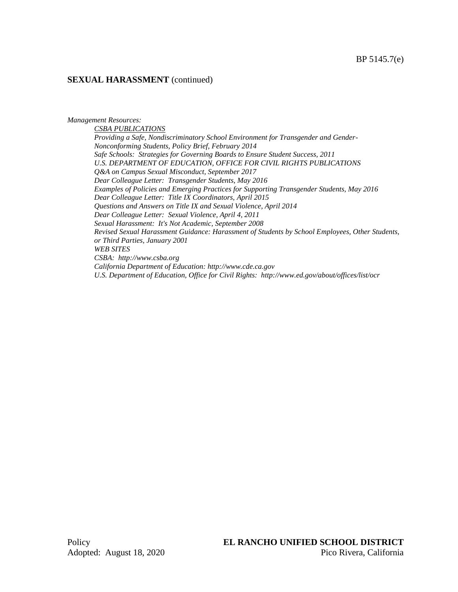*Management Resources:*

*CSBA PUBLICATIONS Providing a Safe, Nondiscriminatory School Environment for Transgender and Gender-Nonconforming Students, Policy Brief, February 2014 Safe Schools: Strategies for Governing Boards to Ensure Student Success, 2011 U.S. DEPARTMENT OF EDUCATION, OFFICE FOR CIVIL RIGHTS PUBLICATIONS Q&A on Campus Sexual Misconduct, September 2017 Dear Colleague Letter: Transgender Students, May 2016 Examples of Policies and Emerging Practices for Supporting Transgender Students, May 2016 Dear Colleague Letter: Title IX Coordinators, April 2015 Questions and Answers on Title IX and Sexual Violence, April 2014 Dear Colleague Letter: Sexual Violence, April 4, 2011 Sexual Harassment: It's Not Academic, September 2008 Revised Sexual Harassment Guidance: Harassment of Students by School Employees, Other Students, or Third Parties, January 2001 WEB SITES CSBA: http://www.csba.org California Department of Education: http://www.cde.ca.gov U.S. Department of Education, Office for Civil Rights: http://www.ed.gov/about/offices/list/ocr*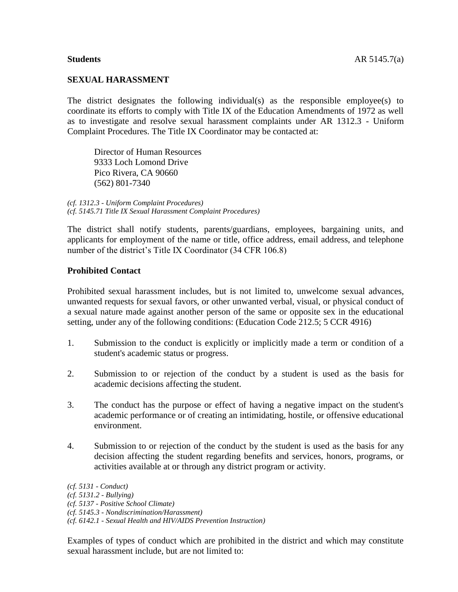### **SEXUAL HARASSMENT**

The district designates the following individual(s) as the responsible employee(s) to coordinate its efforts to comply with Title IX of the Education Amendments of 1972 as well as to investigate and resolve sexual harassment complaints under AR 1312.3 - Uniform Complaint Procedures. The Title IX Coordinator may be contacted at:

Director of Human Resources 9333 Loch Lomond Drive Pico Rivera, CA 90660 (562) 801-7340

*(cf. 1312.3 - Uniform Complaint Procedures) (cf. 5145.71 Title IX Sexual Harassment Complaint Procedures)*

The district shall notify students, parents/guardians, employees, bargaining units, and applicants for employment of the name or title, office address, email address, and telephone number of the district's Title IX Coordinator (34 CFR 106.8)

#### **Prohibited Contact**

Prohibited sexual harassment includes, but is not limited to, unwelcome sexual advances, unwanted requests for sexual favors, or other unwanted verbal, visual, or physical conduct of a sexual nature made against another person of the same or opposite sex in the educational setting, under any of the following conditions: (Education Code 212.5; 5 CCR 4916)

- 1. Submission to the conduct is explicitly or implicitly made a term or condition of a student's academic status or progress.
- 2. Submission to or rejection of the conduct by a student is used as the basis for academic decisions affecting the student.
- 3. The conduct has the purpose or effect of having a negative impact on the student's academic performance or of creating an intimidating, hostile, or offensive educational environment.
- 4. Submission to or rejection of the conduct by the student is used as the basis for any decision affecting the student regarding benefits and services, honors, programs, or activities available at or through any district program or activity.

*(cf. 5131 - Conduct) (cf. 5131.2 - Bullying) (cf. 5137 - Positive School Climate) (cf. 5145.3 - Nondiscrimination/Harassment) (cf. 6142.1 - Sexual Health and HIV/AIDS Prevention Instruction)*

Examples of types of conduct which are prohibited in the district and which may constitute sexual harassment include, but are not limited to: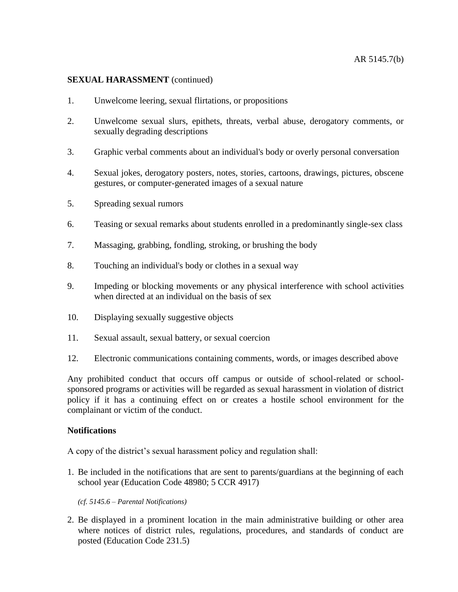- 1. Unwelcome leering, sexual flirtations, or propositions
- 2. Unwelcome sexual slurs, epithets, threats, verbal abuse, derogatory comments, or sexually degrading descriptions
- 3. Graphic verbal comments about an individual's body or overly personal conversation
- 4. Sexual jokes, derogatory posters, notes, stories, cartoons, drawings, pictures, obscene gestures, or computer-generated images of a sexual nature
- 5. Spreading sexual rumors
- 6. Teasing or sexual remarks about students enrolled in a predominantly single-sex class
- 7. Massaging, grabbing, fondling, stroking, or brushing the body
- 8. Touching an individual's body or clothes in a sexual way
- 9. Impeding or blocking movements or any physical interference with school activities when directed at an individual on the basis of sex
- 10. Displaying sexually suggestive objects
- 11. Sexual assault, sexual battery, or sexual coercion
- 12. Electronic communications containing comments, words, or images described above

Any prohibited conduct that occurs off campus or outside of school-related or schoolsponsored programs or activities will be regarded as sexual harassment in violation of district policy if it has a continuing effect on or creates a hostile school environment for the complainant or victim of the conduct.

# **Notifications**

A copy of the district's sexual harassment policy and regulation shall:

1. Be included in the notifications that are sent to parents/guardians at the beginning of each school year (Education Code 48980; 5 CCR 4917)

*(cf. 5145.6 – Parental Notifications)*

2. Be displayed in a prominent location in the main administrative building or other area where notices of district rules, regulations, procedures, and standards of conduct are posted (Education Code 231.5)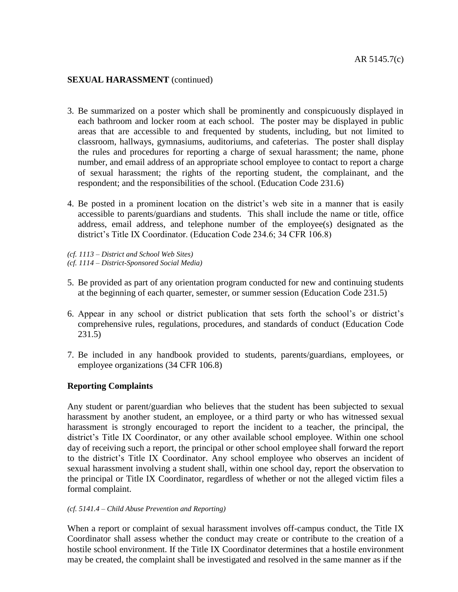- 3. Be summarized on a poster which shall be prominently and conspicuously displayed in each bathroom and locker room at each school. The poster may be displayed in public areas that are accessible to and frequented by students, including, but not limited to classroom, hallways, gymnasiums, auditoriums, and cafeterias. The poster shall display the rules and procedures for reporting a charge of sexual harassment; the name, phone number, and email address of an appropriate school employee to contact to report a charge of sexual harassment; the rights of the reporting student, the complainant, and the respondent; and the responsibilities of the school. (Education Code 231.6)
- 4. Be posted in a prominent location on the district's web site in a manner that is easily accessible to parents/guardians and students. This shall include the name or title, office address, email address, and telephone number of the employee(s) designated as the district's Title IX Coordinator. (Education Code 234.6; 34 CFR 106.8)
- *(cf. 1113 – District and School Web Sites)*
- *(cf. 1114 – District-Sponsored Social Media)*
- 5. Be provided as part of any orientation program conducted for new and continuing students at the beginning of each quarter, semester, or summer session (Education Code 231.5)
- 6. Appear in any school or district publication that sets forth the school's or district's comprehensive rules, regulations, procedures, and standards of conduct (Education Code 231.5)
- 7. Be included in any handbook provided to students, parents/guardians, employees, or employee organizations (34 CFR 106.8)

# **Reporting Complaints**

Any student or parent/guardian who believes that the student has been subjected to sexual harassment by another student, an employee, or a third party or who has witnessed sexual harassment is strongly encouraged to report the incident to a teacher, the principal, the district's Title IX Coordinator, or any other available school employee. Within one school day of receiving such a report, the principal or other school employee shall forward the report to the district's Title IX Coordinator. Any school employee who observes an incident of sexual harassment involving a student shall, within one school day, report the observation to the principal or Title IX Coordinator, regardless of whether or not the alleged victim files a formal complaint.

#### *(cf. 5141.4 – Child Abuse Prevention and Reporting)*

When a report or complaint of sexual harassment involves off-campus conduct, the Title IX Coordinator shall assess whether the conduct may create or contribute to the creation of a hostile school environment. If the Title IX Coordinator determines that a hostile environment may be created, the complaint shall be investigated and resolved in the same manner as if the